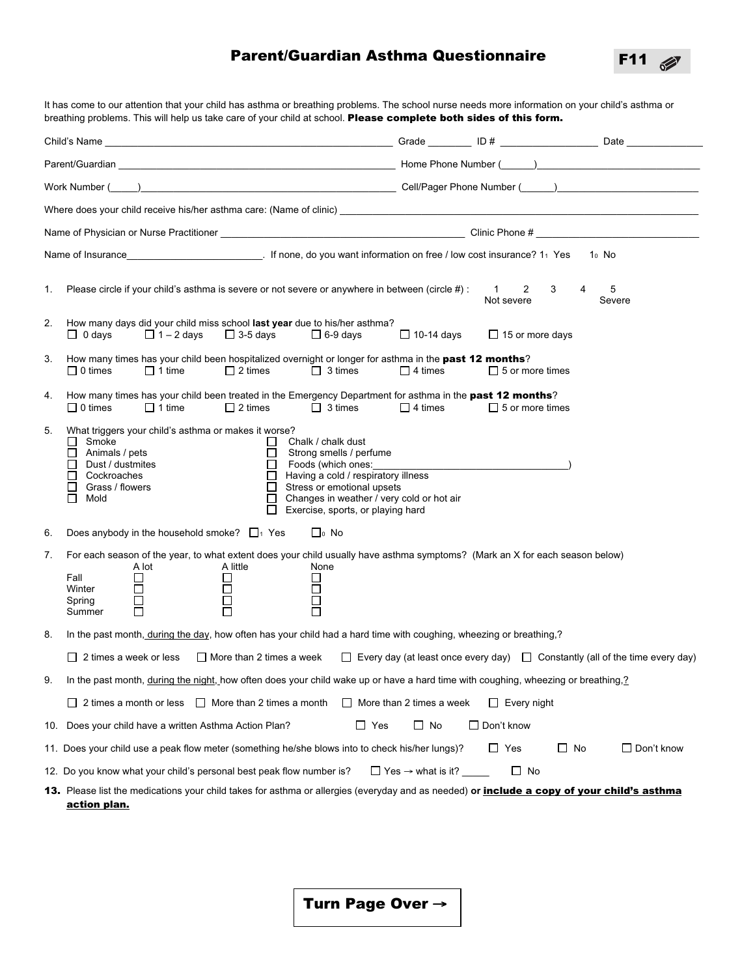## Parent/Guardian Asthma Questionnaire

F11

 $\mathscr{D}$ 

It has come to our attention that your child has asthma or breathing problems. The school nurse needs more information on your child's asthma or breathing problems. This will help us take care of your child at school. Please complete both sides of this form. Child's Name \_\_\_\_\_\_\_\_\_\_\_\_\_\_\_\_\_\_\_\_\_\_\_\_\_\_\_\_\_\_\_\_\_\_\_\_\_\_\_\_\_\_\_\_\_\_\_\_\_\_\_\_\_ Grade \_\_\_\_\_\_\_\_ ID # \_\_\_\_\_\_\_\_\_\_\_\_\_\_\_\_\_\_ Date \_\_\_\_\_\_\_\_\_\_\_\_\_\_ Parent/Guardian \_\_\_\_\_\_\_\_\_\_\_\_\_\_\_\_\_\_\_\_\_\_\_\_\_\_\_\_\_\_\_\_\_\_\_\_\_\_\_\_\_\_\_\_\_\_\_\_\_\_\_ Home Phone Number (\_\_\_\_\_\_)\_\_\_\_\_\_\_\_\_\_\_\_\_\_\_\_\_\_\_\_\_\_\_\_\_\_\_\_\_\_ Work Number (\_\_\_\_\_)\_\_\_\_\_\_\_\_\_\_\_\_\_\_\_\_\_\_\_\_\_\_\_\_\_\_\_\_\_\_\_\_\_\_\_\_\_\_\_\_\_\_\_\_\_\_\_ Cell/Pager Phone Number (\_\_\_\_\_\_)\_\_\_\_\_\_\_\_\_\_\_\_\_\_\_\_\_\_\_\_\_\_\_\_\_\_ Where does your child receive his/her asthma care: (Name of clinic) Name of Physician or Nurse Practitioner \_\_\_\_\_\_\_\_\_\_\_\_\_\_\_\_\_\_\_\_\_\_\_\_\_\_\_\_\_\_\_\_\_\_\_\_\_\_\_\_\_\_\_\_\_ Clinic Phone # \_\_\_\_\_\_\_\_\_\_\_\_\_\_\_\_\_\_\_\_\_\_\_\_\_\_\_\_\_\_ Name of Insurance The Mone of Insurance 2.1 None, do you want information on free / low cost insurance? 11 Yes 10 No 1. Please circle if your child's asthma is severe or not severe or anywhere in between (circle #): 1 2 3 4 5 Not severe Severe 2. How many days did your child miss school **last year** due to his/her asthma?  $\Box$  0 days  $\Box$  1 – 2 days  $\Box$  3-5 days  $\Box$  6-9 days  $\Box$  10-14 days  $\Box$  15 or more days 3. How many times has your child been hospitalized overnight or longer for asthma in the past 12 months?  $\Box$  0 times  $\Box$  1 time  $\Box$  2 times  $\Box$  3 times  $\Box$  4 times  $\Box$  5 or more times 4. How many times has your child been treated in the Emergency Department for asthma in the past 12 months?  $\Box$  0 times  $\Box$  1 time  $\Box$  2 times  $\Box$  3 times  $\Box$  4 times  $\Box$  5 or more times 5. What triggers your child's asthma or makes it worse? □ Smoke Chalk / chalk dust<br>□ Animals / pets Chalk Chalk dust Chalk dust Chalk dust  $\Box$  Animals / pets  $\Box$  Strong smells / perfume  $\Box$  Density / perfume  $\Box$  Strong smells / perfume  $\Box$  Foods (which ones:<br> $\Box$  Having a cold / respire  $\Box$  Cockroaches  $\Box$  Having a cold / respiratory illness  $\Box$  Grass / flowers  $\Box$  Stress or emotional upsets П Grass / flowers  $\Box$  Stress or emotional upsets<br>  $\Box$  Mold  $\Box$  Changes in weather / very of Mold Changes in weather / very cold or hot air Exercise, sports, or playing hard 6. Does anybody in the household smoke?  $\Box_1$  Yes  $\Box_0$  No 7. For each season of the year, to what extent does your child usually have asthma symptoms? (Mark an X for each season below) A lot A little None Fall Winter  $\Box$  $\Box$  $\Box$ ō Ē  $\Box$ Spring  $\Box$ г Summer 8. In the past month, during the day, how often has your child had a hard time with coughing, wheezing or breathing,?  $\Box$  2 times a week or less  $\Box$  More than 2 times a week  $\Box$  Every day (at least once every day)  $\Box$  Constantly (all of the time every day) 9. In the past month, during the night, how often does your child wake up or have a hard time with coughing, wheezing or breathing,?  $\Box$  2 times a month or less  $\Box$  More than 2 times a month  $\Box$  More than 2 times a week  $\Box$  Every night 10. Does your child have a written Asthma Action Plan?  $\Box$  Yes  $\Box$  No  $\Box$  Don't know 11. Does your child use a peak flow meter (something he/she blows into to check his/her lungs)?  $\square$  Yes  $\square$  No  $\square$  Don't know 12. Do you know what your child's personal best peak flow number is?  $\Box$  Yes → what is it?  $\Box$  No 13. Please list the medications your child takes for asthma or allergies (everyday and as needed) or *include a copy of your child's asthma* action plan.